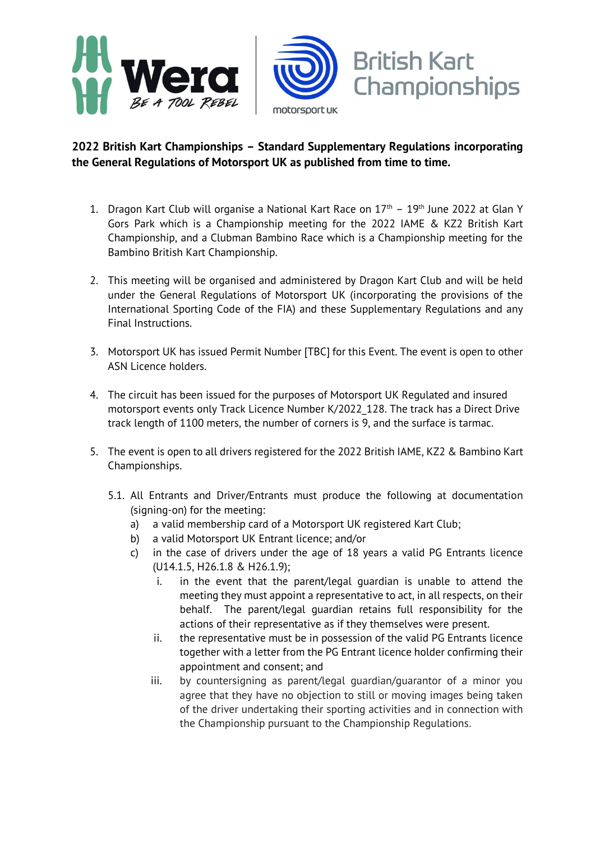

## **2022 British Kart Championships – Standard Supplementary Regulations incorporating the General Regulations of Motorsport UK as published from time to time.**

- 1. Dragon Kart Club will organise a National Kart Race on  $17<sup>th</sup>$   $19<sup>th</sup>$  June 2022 at Glan Y Gors Park which is a Championship meeting for the 2022 IAME & KZ2 British Kart Championship, and a Clubman Bambino Race which is a Championship meeting for the Bambino British Kart Championship.
- 2. This meeting will be organised and administered by Dragon Kart Club and will be held under the General Regulations of Motorsport UK (incorporating the provisions of the International Sporting Code of the FIA) and these Supplementary Regulations and any Final Instructions.
- 3. Motorsport UK has issued Permit Number [TBC] for this Event. The event is open to other ASN Licence holders.
- 4. The circuit has been issued for the purposes of Motorsport UK Regulated and insured motorsport events only Track Licence Number K/2022\_128. The track has a Direct Drive track length of 1100 meters, the number of corners is 9, and the surface is tarmac.
- 5. The event is open to all drivers registered for the 2022 British IAME, KZ2 & Bambino Kart Championships.
	- 5.1. All Entrants and Driver/Entrants must produce the following at documentation (signing-on) for the meeting:
		- a) a valid membership card of a Motorsport UK registered Kart Club;
		- b) a valid Motorsport UK Entrant licence; and/or
		- c) in the case of drivers under the age of 18 years a valid PG Entrants licence (U14.1.5, H26.1.8 & H26.1.9);
			- i. in the event that the parent/legal guardian is unable to attend the meeting they must appoint a representative to act, in all respects, on their behalf. The parent/legal guardian retains full responsibility for the actions of their representative as if they themselves were present.
			- ii. the representative must be in possession of the valid PG Entrants licence together with a letter from the PG Entrant licence holder confirming their appointment and consent; and
			- iii. by countersigning as parent/legal guardian/guarantor of a minor you agree that they have no objection to still or moving images being taken of the driver undertaking their sporting activities and in connection with the Championship pursuant to the Championship Regulations.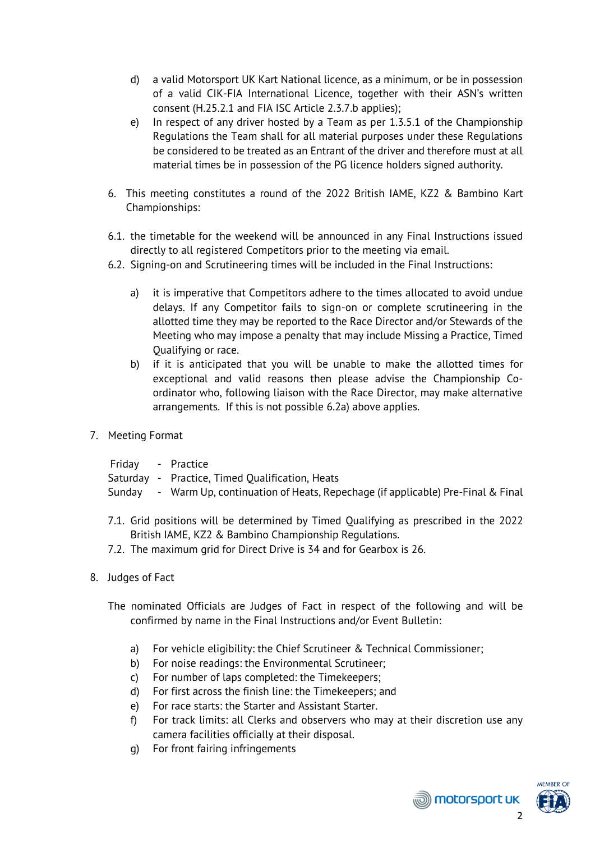- d) a valid Motorsport UK Kart National licence, as a minimum, or be in possession of a valid CIK-FIA International Licence, together with their ASN's written consent (H.25.2.1 and FIA ISC Article 2.3.7.b applies);
- e) In respect of any driver hosted by a Team as per 1.3.5.1 of the Championship Regulations the Team shall for all material purposes under these Regulations be considered to be treated as an Entrant of the driver and therefore must at all material times be in possession of the PG licence holders signed authority.
- 6. This meeting constitutes a round of the 2022 British IAME, KZ2 & Bambino Kart Championships:
- 6.1. the timetable for the weekend will be announced in any Final Instructions issued directly to all registered Competitors prior to the meeting via email.
- 6.2. Signing-on and Scrutineering times will be included in the Final Instructions:
	- a) it is imperative that Competitors adhere to the times allocated to avoid undue delays. If any Competitor fails to sign-on or complete scrutineering in the allotted time they may be reported to the Race Director and/or Stewards of the Meeting who may impose a penalty that may include Missing a Practice, Timed Qualifying or race.
	- b) if it is anticipated that you will be unable to make the allotted times for exceptional and valid reasons then please advise the Championship Coordinator who, following liaison with the Race Director, may make alternative arrangements. If this is not possible 6.2a) above applies.
- 7. Meeting Format
	- Friday Practice
	- Saturday Practice, Timed Qualification, Heats
	- Sunday Warm Up, continuation of Heats, Repechage (if applicable) Pre-Final & Final
	- 7.1. Grid positions will be determined by Timed Qualifying as prescribed in the 2022 British IAME, KZ2 & Bambino Championship Regulations.
	- 7.2. The maximum grid for Direct Drive is 34 and for Gearbox is 26.
- 8. Judges of Fact
	- The nominated Officials are Judges of Fact in respect of the following and will be confirmed by name in the Final Instructions and/or Event Bulletin:
		- a) For vehicle eligibility: the Chief Scrutineer & Technical Commissioner;
		- b) For noise readings: the Environmental Scrutineer;
		- c) For number of laps completed: the Timekeepers;
		- d) For first across the finish line: the Timekeepers; and
		- e) For race starts: the Starter and Assistant Starter.
		- f) For track limits: all Clerks and observers who may at their discretion use any camera facilities officially at their disposal.
		- g) For front fairing infringements



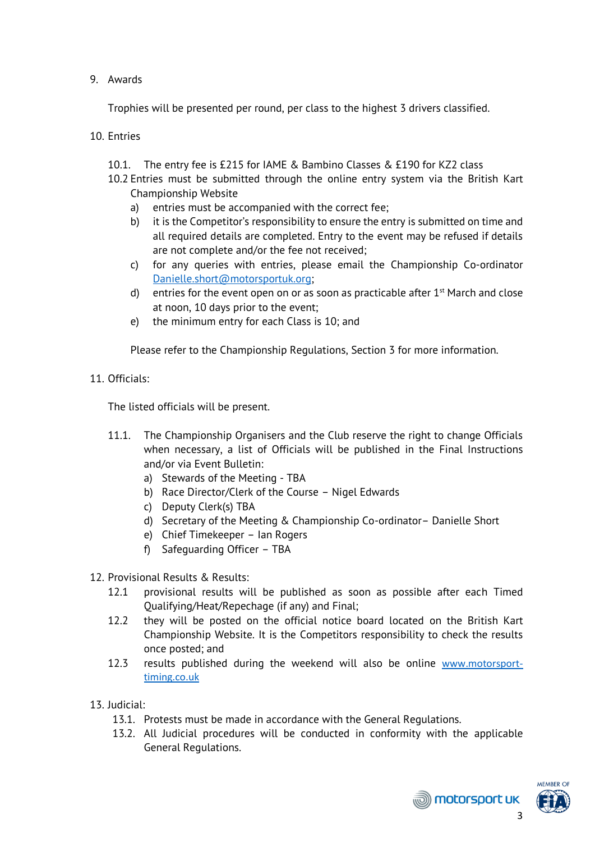## 9. Awards

Trophies will be presented per round, per class to the highest 3 drivers classified.

10. Entries

- 10.1. The entry fee is £215 for IAME & Bambino Classes & £190 for KZ2 class
- 10.2 Entries must be submitted through the online entry system via the British Kart Championship Website
	- a) entries must be accompanied with the correct fee;
	- b) it is the Competitor's responsibility to ensure the entry is submitted on time and all required details are completed. Entry to the event may be refused if details are not complete and/or the fee not received;
	- c) for any queries with entries, please email the Championship Co-ordinator [Danielle.short@motorsportuk.org;](mailto:Danielle.short@motorsportuk.org)
	- d) entries for the event open on or as soon as practicable after  $1<sup>st</sup>$  March and close at noon, 10 days prior to the event;
	- e) the minimum entry for each Class is 10; and

Please refer to the Championship Regulations, Section 3 for more information.

11. Officials:

The listed officials will be present.

- 11.1. The Championship Organisers and the Club reserve the right to change Officials when necessary, a list of Officials will be published in the Final Instructions and/or via Event Bulletin:
	- a) Stewards of the Meeting TBA
	- b) Race Director/Clerk of the Course Nigel Edwards
	- c) Deputy Clerk(s) TBA
	- d) Secretary of the Meeting & Championship Co-ordinator– Danielle Short
	- e) Chief Timekeeper Ian Rogers
	- f) Safeguarding Officer TBA
- 12. Provisional Results & Results:
	- 12.1 provisional results will be published as soon as possible after each Timed Qualifying/Heat/Repechage (if any) and Final;
	- 12.2 they will be posted on the official notice board located on the British Kart Championship Website. It is the Competitors responsibility to check the results once posted; and
	- 12.3 results published during the weekend will also be online [www.motorsport](http://www.motorsport-timing.co.uk/)[timing.co.uk](http://www.motorsport-timing.co.uk/)
- 13. Judicial:
	- 13.1. Protests must be made in accordance with the General Regulations.
	- 13.2. All Judicial procedures will be conducted in conformity with the applicable General Regulations.



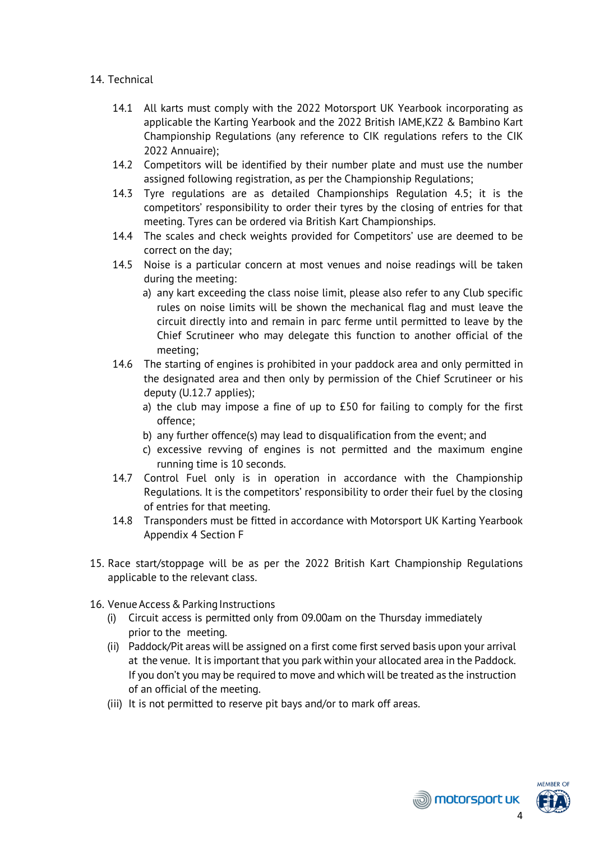## 14. Technical

- 14.1 All karts must comply with the 2022 Motorsport UK Yearbook incorporating as applicable the Karting Yearbook and the 2022 British IAME,KZ2 & Bambino Kart Championship Regulations (any reference to CIK regulations refers to the CIK 2022 Annuaire);
- 14.2 Competitors will be identified by their number plate and must use the number assigned following registration, as per the Championship Regulations;
- 14.3 Tyre regulations are as detailed Championships Regulation 4.5; it is the competitors' responsibility to order their tyres by the closing of entries for that meeting. Tyres can be ordered via British Kart Championships.
- 14.4 The scales and check weights provided for Competitors' use are deemed to be correct on the day;
- 14.5 Noise is a particular concern at most venues and noise readings will be taken during the meeting:
	- a) any kart exceeding the class noise limit, please also refer to any Club specific rules on noise limits will be shown the mechanical flag and must leave the circuit directly into and remain in parc ferme until permitted to leave by the Chief Scrutineer who may delegate this function to another official of the meeting;
- 14.6 The starting of engines is prohibited in your paddock area and only permitted in the designated area and then only by permission of the Chief Scrutineer or his deputy (U.12.7 applies);
	- a) the club may impose a fine of up to £50 for failing to comply for the first offence;
	- b) any further offence(s) may lead to disqualification from the event; and
	- c) excessive revving of engines is not permitted and the maximum engine running time is 10 seconds.
- 14.7 Control Fuel only is in operation in accordance with the Championship Regulations. It is the competitors' responsibility to order their fuel by the closing of entries for that meeting.
- 14.8 Transponders must be fitted in accordance with Motorsport UK Karting Yearbook Appendix 4 Section F
- 15. Race start/stoppage will be as per the 2022 British Kart Championship Regulations applicable to the relevant class.
- 16. Venue Access & Parking Instructions
	- (i) Circuit access is permitted only from 09.00am on the Thursday immediately prior to the meeting.
	- (ii) Paddock/Pit areas will be assigned on a first come first served basis upon your arrival at the venue. It is important that you park within your allocated area in the Paddock. If you don't you may be required to move and which will be treated as the instruction of an official of the meeting.
	- (iii) It is not permitted to reserve pit bays and/or to mark off areas.



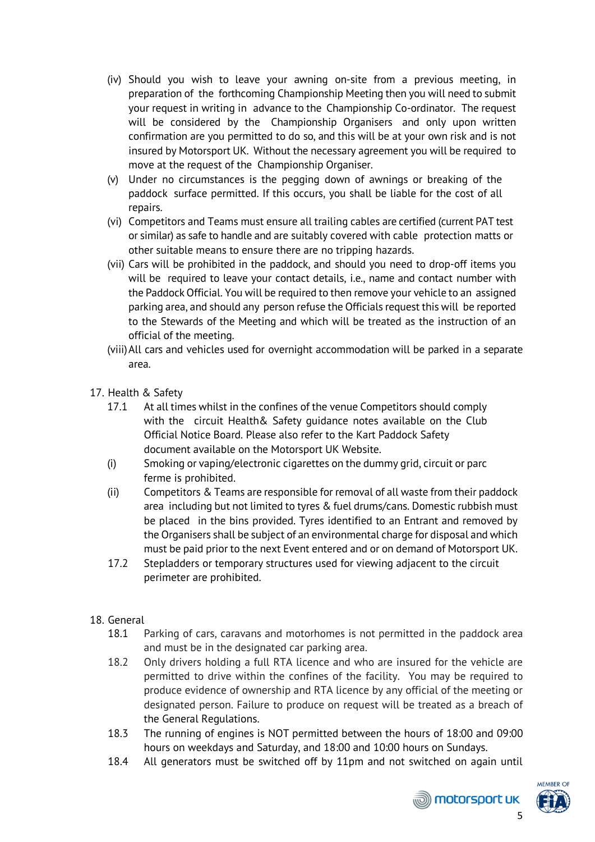- (iv) Should you wish to leave your awning on-site from a previous meeting, in preparation of the forthcoming Championship Meeting then you will need to submit your request in writing in advance to the Championship Co-ordinator. The request will be considered by the Championship Organisers and only upon written confirmation are you permitted to do so, and this will be at your own risk and is not insured by Motorsport UK. Without the necessary agreement you will be required to move at the request of the Championship Organiser.
- (v) Under no circumstances is the pegging down of awnings or breaking of the paddock surface permitted. If this occurs, you shall be liable for the cost of all repairs.
- (vi) Competitors and Teams must ensure all trailing cables are certified (current PAT test or similar) as safe to handle and are suitably covered with cable protection matts or other suitable means to ensure there are no tripping hazards.
- (vii) Cars will be prohibited in the paddock, and should you need to drop-off items you will be required to leave your contact details, i.e., name and contact number with the Paddock Official. You will be required to then remove your vehicle to an assigned parking area, and should any person refuse the Officials request this will be reported to the Stewards of the Meeting and which will be treated as the instruction of an official of the meeting.
- (viii)All cars and vehicles used for overnight accommodation will be parked in a separate area.
- 17. Health & Safety
	- 17.1 At all times whilst in the confines of the venue Competitors should comply with the circuit Health& Safety guidance notes available on the Club Official Notice Board. Please also refer to the Kart Paddock Safety document available on the Motorsport UK Website.
	- (i) Smoking or vaping/electronic cigarettes on the dummy grid, circuit or parc ferme is prohibited.
	- (ii) Competitors & Teams are responsible for removal of all waste from their paddock area including but not limited to tyres & fuel drums/cans. Domestic rubbish must be placed in the bins provided. Tyres identified to an Entrant and removed by the Organisers shall be subject of an environmental charge for disposal and which must be paid prior to the next Event entered and or on demand of Motorsport UK.
	- 17.2 Stepladders or temporary structures used for viewing adjacent to the circuit perimeter are prohibited.
- 18. General
	- 18.1 Parking of cars, caravans and motorhomes is not permitted in the paddock area and must be in the designated car parking area.
	- 18.2 Only drivers holding a full RTA licence and who are insured for the vehicle are permitted to drive within the confines of the facility. You may be required to produce evidence of ownership and RTA licence by any official of the meeting or designated person. Failure to produce on request will be treated as a breach of the General Regulations.
	- 18.3 The running of engines is NOT permitted between the hours of 18:00 and 09:00 hours on weekdays and Saturday, and 18:00 and 10:00 hours on Sundays.
	- 18.4 All generators must be switched off by 11pm and not switched on again until